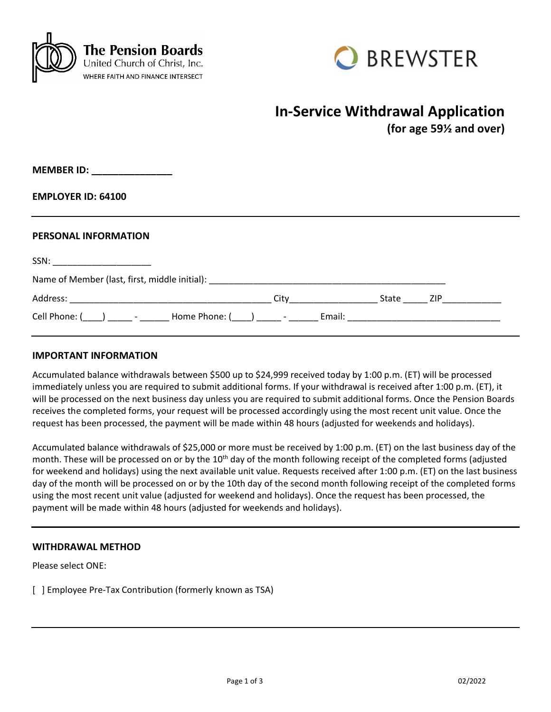



# **In-Service Withdrawal Application**

**(for age 59½ and over)**

**MEMBER ID: \_\_\_\_\_\_\_\_\_\_\_\_\_\_\_**

**EMPLOYER ID: 64100**

#### **PERSONAL INFORMATION**

| SSN:                                                                                                                                                                                                                                                                                                                                                                                                |      |           |  |
|-----------------------------------------------------------------------------------------------------------------------------------------------------------------------------------------------------------------------------------------------------------------------------------------------------------------------------------------------------------------------------------------------------|------|-----------|--|
| Name of Member (last, first, middle initial): Name of Members and Allen and Allen and Allen and Allen and Allen                                                                                                                                                                                                                                                                                     |      |           |  |
|                                                                                                                                                                                                                                                                                                                                                                                                     | City | State ZIP |  |
| Cell Phone: $\begin{pmatrix} 1 & 1 \\ 1 & 1 \end{pmatrix}$ $\begin{pmatrix} 1 & 1 \\ 1 & 1 \end{pmatrix}$ $\begin{pmatrix} 1 & 1 \\ 1 & 1 \end{pmatrix}$ $\begin{pmatrix} 1 & 1 \\ 1 & 1 \end{pmatrix}$ $\begin{pmatrix} 1 & 1 \\ 1 & 1 \end{pmatrix}$ $\begin{pmatrix} 1 & 1 \\ 1 & 1 \end{pmatrix}$ $\begin{pmatrix} 1 & 1 \\ 1 & 1 \end{pmatrix}$ $\begin{pmatrix} 1 & 1 \\ 1 & 1 \end{pmatrix}$ |      |           |  |

#### **IMPORTANT INFORMATION**

Accumulated balance withdrawals between \$500 up to \$24,999 received today by 1:00 p.m. (ET) will be processed immediately unless you are required to submit additional forms. If your withdrawal is received after 1:00 p.m. (ET), it will be processed on the next business day unless you are required to submit additional forms. Once the Pension Boards receives the completed forms, your request will be processed accordingly using the most recent unit value. Once the request has been processed, the payment will be made within 48 hours (adjusted for weekends and holidays).

Accumulated balance withdrawals of \$25,000 or more must be received by 1:00 p.m. (ET) on the last business day of the month. These will be processed on or by the 10<sup>th</sup> day of the month following receipt of the completed forms (adjusted for weekend and holidays) using the next available unit value. Requests received after 1:00 p.m. (ET) on the last business day of the month will be processed on or by the 10th day of the second month following receipt of the completed forms using the most recent unit value (adjusted for weekend and holidays). Once the request has been processed, the payment will be made within 48 hours (adjusted for weekends and holidays).

### **WITHDRAWAL METHOD**

Please select ONE:

[ ] Employee Pre-Tax Contribution (formerly known as TSA)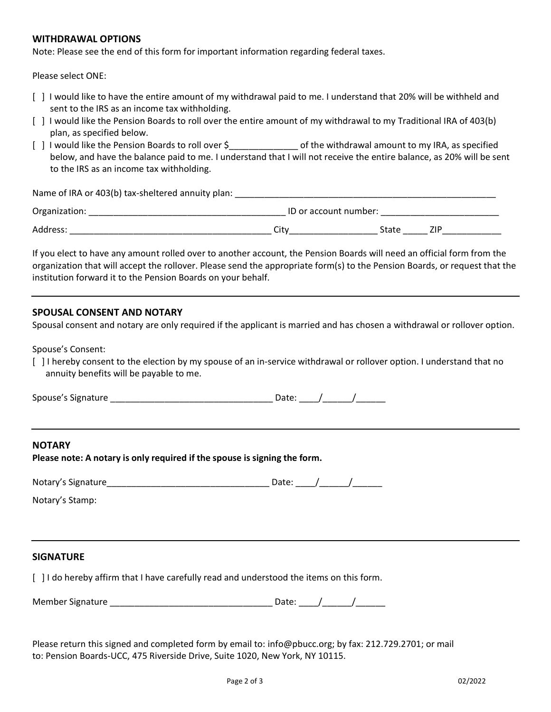#### **WITHDRAWAL OPTIONS**

Note: Please see the end of this form for important information regarding federal taxes.

Please select ONE:

- [ ] I would like to have the entire amount of my withdrawal paid to me. I understand that 20% will be withheld and sent to the IRS as an income tax withholding.
- [ ] I would like the Pension Boards to roll over the entire amount of my withdrawal to my Traditional IRA of 403(b) plan, as specified below.
- [ ] I would like the Pension Boards to roll over \$\_\_\_\_\_\_\_\_\_\_\_\_\_\_\_\_\_ of the withdrawal amount to my IRA, as specified below, and have the balance paid to me. I understand that I will not receive the entire balance, as 20% will be sent to the IRS as an income tax withholding.

Name of IRA or 403(b) tax-sheltered annuity plan:

| Organization: | ID or account number: |       |  |  |
|---------------|-----------------------|-------|--|--|
| Address:      | `i+v<br>ᇅ             | State |  |  |

If you elect to have any amount rolled over to another account, the Pension Boards will need an official form from the organization that will accept the rollover. Please send the appropriate form(s) to the Pension Boards, or request that the institution forward it to the Pension Boards on your behalf.

### **SPOUSAL CONSENT AND NOTARY**

Spousal consent and notary are only required if the applicant is married and has chosen a withdrawal or rollover option.

Spouse's Consent:

[ ] I hereby consent to the election by my spouse of an in-service withdrawal or rollover option. I understand that no annuity benefits will be payable to me.

| Spouse's Signature |  |  |  |
|--------------------|--|--|--|
|                    |  |  |  |
|                    |  |  |  |

### **NOTARY**

| Please note: A notary is only required if the spouse is signing the form. |
|---------------------------------------------------------------------------|
|---------------------------------------------------------------------------|

| Notary's Signature |  |  |  |
|--------------------|--|--|--|
|--------------------|--|--|--|

Notary's Stamp:

#### **SIGNATURE**

[ ] I do hereby affirm that I have carefully read and understood the items on this form.

Member Signature \_\_\_\_\_\_\_\_\_\_\_\_\_\_\_\_\_\_\_\_\_\_\_\_\_\_\_\_\_\_\_\_\_ Date: \_\_\_\_/\_\_\_\_\_\_/\_\_\_\_\_\_

Please return this signed and completed form by email to: info@pbucc.org; by fax: 212.729.2701; or mail to: Pension Boards-UCC, 475 Riverside Drive, Suite 1020, New York, NY 10115.